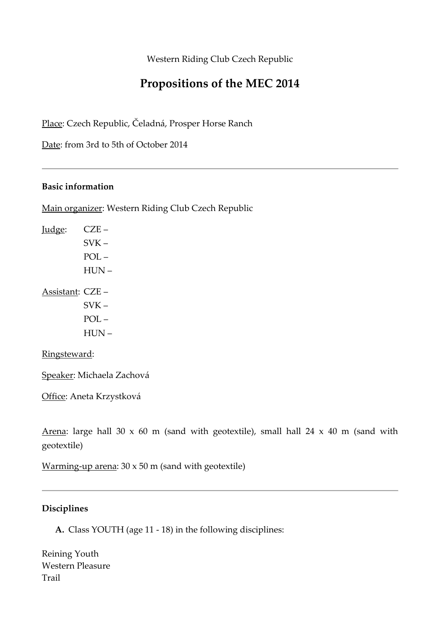Western Riding Club Czech Republic

## **Propositions of the MEC 2014**

Place: Czech Republic, Čeladná, Prosper Horse Ranch

Date: from 3rd to 5th of October 2014

### **Basic information**

Main organizer: Western Riding Club Czech Republic

Judge: CZE –  $SVK POL -$ HUN – Assistant: CZE –  $SVK -$ POL –

HUN –

#### Ringsteward:

Speaker: Michaela Zachová

Office: Aneta Krzystková

Arena: large hall 30 x 60 m (sand with geotextile), small hall 24 x 40 m (sand with geotextile)

Warming-up arena: 30 x 50 m (sand with geotextile)

## **Disciplines**

**A.** Class YOUTH (age 11 - 18) in the following disciplines:

Reining Youth Western Pleasure Trail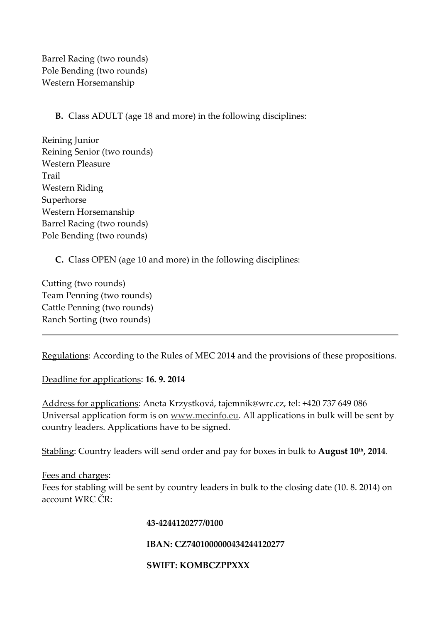Barrel Racing (two rounds) Pole Bending (two rounds) Western Horsemanship

## **B.** Class ADULT (age 18 and more) in the following disciplines:

Reining Junior Reining Senior (two rounds) Western Pleasure Trail Western Riding Superhorse Western Horsemanship Barrel Racing (two rounds) Pole Bending (two rounds)

**C.** Class OPEN (age 10 and more) in the following disciplines:

Cutting (two rounds) Team Penning (two rounds) Cattle Penning (two rounds) Ranch Sorting (two rounds)

Regulations: According to the Rules of MEC 2014 and the provisions of these propositions.

Deadline for applications: **16. 9. 2014**

Address for applications: Aneta Krzystková, tajemnik@wrc.cz, tel: +420 737 649 086 Universal application form is on www.mecinfo.eu. All applications in bulk will be sent by country leaders. Applications have to be signed.

Stabling: Country leaders will send order and pay for boxes in bulk to **August 10th, 2014**.

Fees and charges:

Fees for stabling will be sent by country leaders in bulk to the closing date (10. 8. 2014) on account WRC ČR:

#### **43-4244120277/0100**

#### **IBAN: CZ7401000000434244120277**

#### **SWIFT: KOMBCZPPXXX**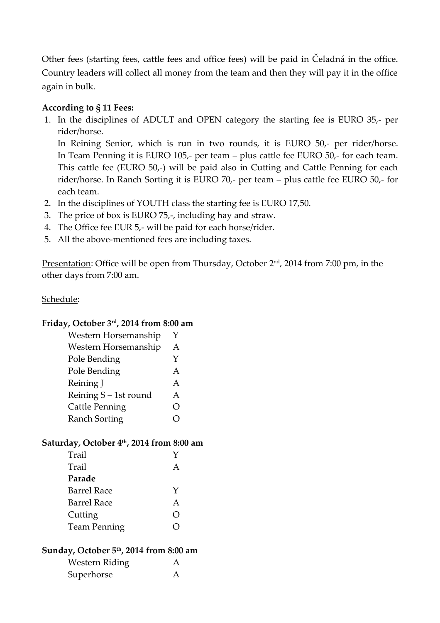Other fees (starting fees, cattle fees and office fees) will be paid in Čeladná in the office. Country leaders will collect all money from the team and then they will pay it in the office again in bulk.

## **According to § 11 Fees:**

1. In the disciplines of ADULT and OPEN category the starting fee is EURO 35,- per rider/horse.

In Reining Senior, which is run in two rounds, it is EURO 50,- per rider/horse. In Team Penning it is EURO 105,- per team – plus cattle fee EURO 50,- for each team. This cattle fee (EURO 50,-) will be paid also in Cutting and Cattle Penning for each rider/horse. In Ranch Sorting it is EURO 70,- per team – plus cattle fee EURO 50,- for each team.

- 2. In the disciplines of YOUTH class the starting fee is EURO 17,50.
- 3. The price of box is EURO 75,-, including hay and straw.
- 4. The Office fee EUR 5,- will be paid for each horse/rider.
- 5. All the above-mentioned fees are including taxes.

Presentation: Office will be open from Thursday, October 2<sup>nd</sup>, 2014 from 7:00 pm, in the other days from 7:00 am.

## Schedule:

## **Friday, October 3rd, 2014 from 8:00 am**

| Western Horsemanship  | Y  |
|-----------------------|----|
| Western Horsemanship  | Α  |
| Pole Bending          | Y  |
| Pole Bending          | Α  |
| Reining J             | Α  |
| Reining S - 1st round | A  |
| <b>Cattle Penning</b> | () |
| <b>Ranch Sorting</b>  |    |
|                       |    |

## **Saturday, October 4th, 2014 from 8:00 am**

| Trail               |        |
|---------------------|--------|
| Trail               |        |
| Parade              |        |
| <b>Barrel Race</b>  | Y      |
| <b>Barrel Race</b>  | А      |
| Cutting             | $\Box$ |
| <b>Team Penning</b> |        |
|                     |        |

## **Sunday, October 5th, 2014 from 8:00 am**

| <b>Western Riding</b> | $\mathsf{A}$ |
|-----------------------|--------------|
| Superhorse            | A            |